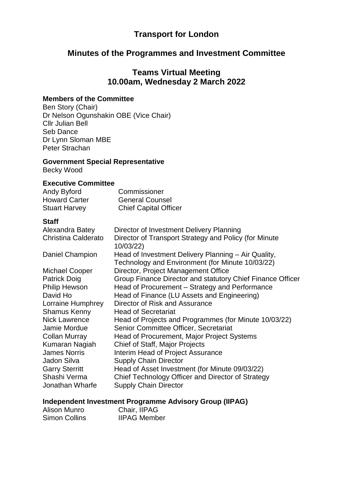## **Transport for London**

# **Minutes of the Programmes and Investment Committee**

## **Teams Virtual Meeting 10.00am, Wednesday 2 March 2022**

#### **Members of the Committee**

Ben Story (Chair) Dr Nelson Ogunshakin OBE (Vice Chair) Cllr Julian Bell Seb Dance Dr Lynn Sloman MBE Peter Strachan

### **Government Special Representative**

Becky Wood

#### **Executive Committee**

| Andy Byford          | Commissioner                 |
|----------------------|------------------------------|
| <b>Howard Carter</b> | <b>General Counsel</b>       |
| <b>Stuart Harvey</b> | <b>Chief Capital Officer</b> |

#### **Staff**

| Alexandra Batey       | Director of Investment Delivery Planning                           |
|-----------------------|--------------------------------------------------------------------|
| Christina Calderato   | Director of Transport Strategy and Policy (for Minute<br>10/03/22) |
| Daniel Champion       | Head of Investment Delivery Planning - Air Quality,                |
|                       | Technology and Environment (for Minute 10/03/22)                   |
| <b>Michael Cooper</b> | Director, Project Management Office                                |
| <b>Patrick Doig</b>   | Group Finance Director and statutory Chief Finance Officer         |
| <b>Philip Hewson</b>  | Head of Procurement - Strategy and Performance                     |
| David Ho              | Head of Finance (LU Assets and Engineering)                        |
| Lorraine Humphrey     | Director of Risk and Assurance                                     |
| <b>Shamus Kenny</b>   | <b>Head of Secretariat</b>                                         |
| <b>Nick Lawrence</b>  | Head of Projects and Programmes (for Minute 10/03/22)              |
| Jamie Mordue          | Senior Committee Officer, Secretariat                              |
| <b>Collan Murray</b>  | Head of Procurement, Major Project Systems                         |
| Kumaran Nagiah        | Chief of Staff, Major Projects                                     |
| <b>James Norris</b>   | Interim Head of Project Assurance                                  |
| Jadon Silva           | <b>Supply Chain Director</b>                                       |
| <b>Garry Sterritt</b> | Head of Asset Investment (for Minute 09/03/22)                     |
| Shashi Verma          | Chief Technology Officer and Director of Strategy                  |
| Jonathan Wharfe       | <b>Supply Chain Director</b>                                       |

### **Independent Investment Programme Advisory Group (IIPAG)**

| Alison Munro  | Chair, IIPAG        |
|---------------|---------------------|
| Simon Collins | <b>IIPAG Member</b> |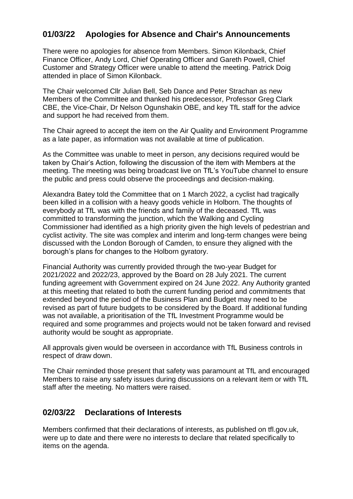# **01/03/22 Apologies for Absence and Chair's Announcements**

There were no apologies for absence from Members. Simon Kilonback, Chief Finance Officer, Andy Lord, Chief Operating Officer and Gareth Powell, Chief Customer and Strategy Officer were unable to attend the meeting. Patrick Doig attended in place of Simon Kilonback.

The Chair welcomed Cllr Julian Bell, Seb Dance and Peter Strachan as new Members of the Committee and thanked his predecessor, Professor Greg Clark CBE, the Vice-Chair, Dr Nelson Ogunshakin OBE, and key TfL staff for the advice and support he had received from them.

The Chair agreed to accept the item on the Air Quality and Environment Programme as a late paper, as information was not available at time of publication.

As the Committee was unable to meet in person, any decisions required would be taken by Chair's Action, following the discussion of the item with Members at the meeting. The meeting was being broadcast live on TfL's YouTube channel to ensure the public and press could observe the proceedings and decision-making.

Alexandra Batey told the Committee that on 1 March 2022, a cyclist had tragically been killed in a collision with a heavy goods vehicle in Holborn. The thoughts of everybody at TfL was with the friends and family of the deceased. TfL was committed to transforming the junction, which the Walking and Cycling Commissioner had identified as a high priority given the high levels of pedestrian and cyclist activity. The site was complex and interim and long-term changes were being discussed with the London Borough of Camden, to ensure they aligned with the borough's plans for changes to the Holborn gyratory.

Financial Authority was currently provided through the two-year Budget for 2021/2022 and 2022/23, approved by the Board on 28 July 2021. The current funding agreement with Government expired on 24 June 2022. Any Authority granted at this meeting that related to both the current funding period and commitments that extended beyond the period of the Business Plan and Budget may need to be revised as part of future budgets to be considered by the Board. If additional funding was not available, a prioritisation of the TfL Investment Programme would be required and some programmes and projects would not be taken forward and revised authority would be sought as appropriate.

All approvals given would be overseen in accordance with TfL Business controls in respect of draw down.

The Chair reminded those present that safety was paramount at TfL and encouraged Members to raise any safety issues during discussions on a relevant item or with TfL staff after the meeting. No matters were raised.

### **02/03/22 Declarations of Interests**

Members confirmed that their declarations of interests, as published on tfl.gov.uk, were up to date and there were no interests to declare that related specifically to items on the agenda.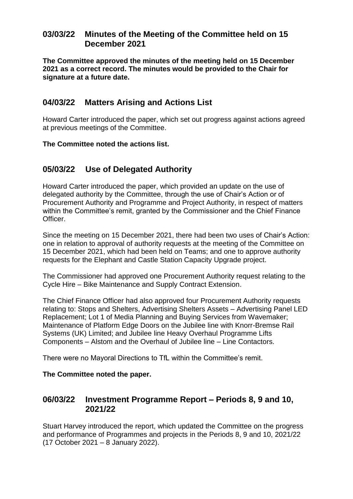# **03/03/22 Minutes of the Meeting of the Committee held on 15 December 2021**

**The Committee approved the minutes of the meeting held on 15 December 2021 as a correct record. The minutes would be provided to the Chair for signature at a future date.**

## **04/03/22 Matters Arising and Actions List**

Howard Carter introduced the paper, which set out progress against actions agreed at previous meetings of the Committee.

### **The Committee noted the actions list.**

# **05/03/22 Use of Delegated Authority**

Howard Carter introduced the paper, which provided an update on the use of delegated authority by the Committee, through the use of Chair's Action or of Procurement Authority and Programme and Project Authority, in respect of matters within the Committee's remit, granted by the Commissioner and the Chief Finance Officer.

Since the meeting on 15 December 2021, there had been two uses of Chair's Action: one in relation to approval of authority requests at the meeting of the Committee on 15 December 2021, which had been held on Teams; and one to approve authority requests for the Elephant and Castle Station Capacity Upgrade project.

The Commissioner had approved one Procurement Authority request relating to the Cycle Hire – Bike Maintenance and Supply Contract Extension.

The Chief Finance Officer had also approved four Procurement Authority requests relating to: Stops and Shelters, Advertising Shelters Assets – Advertising Panel LED Replacement; Lot 1 of Media Planning and Buying Services from Wavemaker; Maintenance of Platform Edge Doors on the Jubilee line with Knorr-Bremse Rail Systems (UK) Limited; and Jubilee line Heavy Overhaul Programme Lifts Components – Alstom and the Overhaul of Jubilee line – Line Contactors.

There were no Mayoral Directions to TfL within the Committee's remit.

### **The Committee noted the paper.**

### **06/03/22 Investment Programme Report – Periods 8, 9 and 10, 2021/22**

Stuart Harvey introduced the report, which updated the Committee on the progress and performance of Programmes and projects in the Periods 8, 9 and 10, 2021/22 (17 October 2021 – 8 January 2022).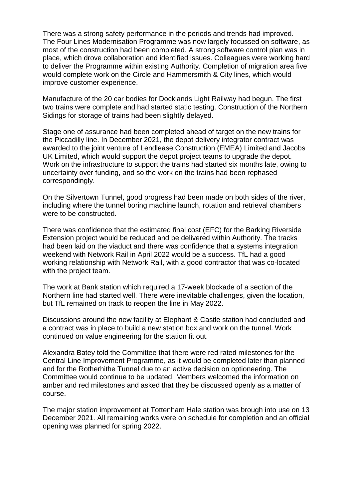There was a strong safety performance in the periods and trends had improved. The Four Lines Modernisation Programme was now largely focussed on software, as most of the construction had been completed. A strong software control plan was in place, which drove collaboration and identified issues. Colleagues were working hard to deliver the Programme within existing Authority. Completion of migration area five would complete work on the Circle and Hammersmith & City lines, which would improve customer experience.

Manufacture of the 20 car bodies for Docklands Light Railway had begun. The first two trains were complete and had started static testing. Construction of the Northern Sidings for storage of trains had been slightly delayed.

Stage one of assurance had been completed ahead of target on the new trains for the Piccadilly line. In December 2021, the depot delivery integrator contract was awarded to the joint venture of Lendlease Construction (EMEA) Limited and Jacobs UK Limited, which would support the depot project teams to upgrade the depot. Work on the infrastructure to support the trains had started six months late, owing to uncertainty over funding, and so the work on the trains had been rephased correspondingly.

On the Silvertown Tunnel, good progress had been made on both sides of the river, including where the tunnel boring machine launch, rotation and retrieval chambers were to be constructed.

There was confidence that the estimated final cost (EFC) for the Barking Riverside Extension project would be reduced and be delivered within Authority. The tracks had been laid on the viaduct and there was confidence that a systems integration weekend with Network Rail in April 2022 would be a success. TfL had a good working relationship with Network Rail, with a good contractor that was co-located with the project team.

The work at Bank station which required a 17-week blockade of a section of the Northern line had started well. There were inevitable challenges, given the location, but TfL remained on track to reopen the line in May 2022.

Discussions around the new facility at Elephant & Castle station had concluded and a contract was in place to build a new station box and work on the tunnel. Work continued on value engineering for the station fit out.

Alexandra Batey told the Committee that there were red rated milestones for the Central Line Improvement Programme, as it would be completed later than planned and for the Rotherhithe Tunnel due to an active decision on optioneering. The Committee would continue to be updated. Members welcomed the information on amber and red milestones and asked that they be discussed openly as a matter of course.

The major station improvement at Tottenham Hale station was brough into use on 13 December 2021. All remaining works were on schedule for completion and an official opening was planned for spring 2022.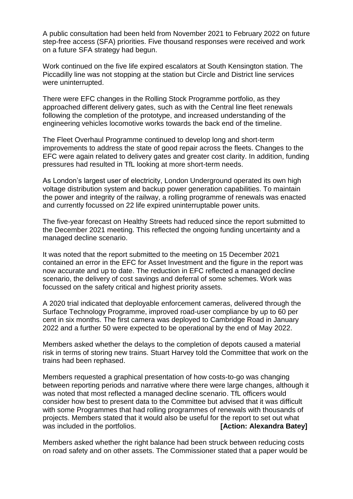A public consultation had been held from November 2021 to February 2022 on future step-free access (SFA) priorities. Five thousand responses were received and work on a future SFA strategy had begun.

Work continued on the five life expired escalators at South Kensington station. The Piccadilly line was not stopping at the station but Circle and District line services were uninterrupted.

There were EFC changes in the Rolling Stock Programme portfolio, as they approached different delivery gates, such as with the Central line fleet renewals following the completion of the prototype, and increased understanding of the engineering vehicles locomotive works towards the back end of the timeline.

The Fleet Overhaul Programme continued to develop long and short-term improvements to address the state of good repair across the fleets. Changes to the EFC were again related to delivery gates and greater cost clarity. In addition, funding pressures had resulted in TfL looking at more short-term needs.

As London's largest user of electricity, London Underground operated its own high voltage distribution system and backup power generation capabilities. To maintain the power and integrity of the railway, a rolling programme of renewals was enacted and currently focussed on 22 life expired uninterruptable power units.

The five-year forecast on Healthy Streets had reduced since the report submitted to the December 2021 meeting. This reflected the ongoing funding uncertainty and a managed decline scenario.

It was noted that the report submitted to the meeting on 15 December 2021 contained an error in the EFC for Asset Investment and the figure in the report was now accurate and up to date. The reduction in EFC reflected a managed decline scenario, the delivery of cost savings and deferral of some schemes. Work was focussed on the safety critical and highest priority assets.

A 2020 trial indicated that deployable enforcement cameras, delivered through the Surface Technology Programme, improved road-user compliance by up to 60 per cent in six months. The first camera was deployed to Cambridge Road in January 2022 and a further 50 were expected to be operational by the end of May 2022.

Members asked whether the delays to the completion of depots caused a material risk in terms of storing new trains. Stuart Harvey told the Committee that work on the trains had been rephased.

Members requested a graphical presentation of how costs-to-go was changing between reporting periods and narrative where there were large changes, although it was noted that most reflected a managed decline scenario. TfL officers would consider how best to present data to the Committee but advised that it was difficult with some Programmes that had rolling programmes of renewals with thousands of projects. Members stated that it would also be useful for the report to set out what was included in the portfolios. **[Action: Alexandra Batey]** 

Members asked whether the right balance had been struck between reducing costs on road safety and on other assets. The Commissioner stated that a paper would be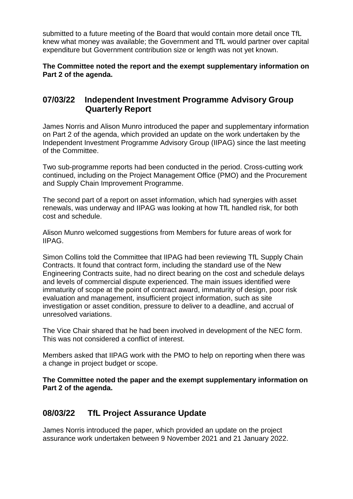submitted to a future meeting of the Board that would contain more detail once TfL knew what money was available; the Government and TfL would partner over capital expenditure but Government contribution size or length was not yet known.

**The Committee noted the report and the exempt supplementary information on Part 2 of the agenda.**

## **07/03/22 Independent Investment Programme Advisory Group Quarterly Report**

James Norris and Alison Munro introduced the paper and supplementary information on Part 2 of the agenda, which provided an update on the work undertaken by the Independent Investment Programme Advisory Group (IIPAG) since the last meeting of the Committee.

Two sub-programme reports had been conducted in the period. Cross-cutting work continued, including on the Project Management Office (PMO) and the Procurement and Supply Chain Improvement Programme.

The second part of a report on asset information, which had synergies with asset renewals, was underway and IIPAG was looking at how TfL handled risk, for both cost and schedule.

Alison Munro welcomed suggestions from Members for future areas of work for IIPAG.

Simon Collins told the Committee that IIPAG had been reviewing TfL Supply Chain Contracts. It found that contract form, including the standard use of the New Engineering Contracts suite, had no direct bearing on the cost and schedule delays and levels of commercial dispute experienced. The main issues identified were immaturity of scope at the point of contract award, immaturity of design, poor risk evaluation and management, insufficient project information, such as site investigation or asset condition, pressure to deliver to a deadline, and accrual of unresolved variations.

The Vice Chair shared that he had been involved in development of the NEC form. This was not considered a conflict of interest.

Members asked that IIPAG work with the PMO to help on reporting when there was a change in project budget or scope.

**The Committee noted the paper and the exempt supplementary information on Part 2 of the agenda.**

# **08/03/22 TfL Project Assurance Update**

James Norris introduced the paper, which provided an update on the project assurance work undertaken between 9 November 2021 and 21 January 2022.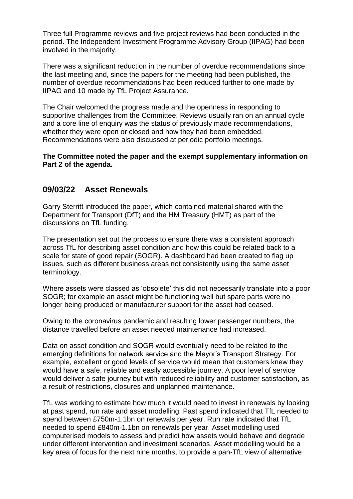Three full Programme reviews and five project reviews had been conducted in the period. The Independent Investment Programme Advisory Group (IIPAG) had been involved in the majority.

There was a significant reduction in the number of overdue recommendations since the last meeting and, since the papers for the meeting had been published, the number of overdue recommendations had been reduced further to one made by IIPAG and 10 made by TfL Project Assurance.

The Chair welcomed the progress made and the openness in responding to supportive challenges from the Committee. Reviews usually ran on an annual cycle and a core line of enquiry was the status of previously made recommendations, whether they were open or closed and how they had been embedded. Recommendations were also discussed at periodic portfolio meetings.

#### **The Committee noted the paper and the exempt supplementary information on Part 2 of the agenda.**

### **09/03/22 Asset Renewals**

Garry Sterritt introduced the paper, which contained material shared with the Department for Transport (DfT) and the HM Treasury (HMT) as part of the discussions on TfL funding.

The presentation set out the process to ensure there was a consistent approach across TfL for describing asset condition and how this could be related back to a scale for state of good repair (SOGR). A dashboard had been created to flag up issues, such as different business areas not consistently using the same asset terminology.

Where assets were classed as 'obsolete' this did not necessarily translate into a poor SOGR; for example an asset might be functioning well but spare parts were no longer being produced or manufacturer support for the asset had ceased.

Owing to the coronavirus pandemic and resulting lower passenger numbers, the distance travelled before an asset needed maintenance had increased.

Data on asset condition and SOGR would eventually need to be related to the emerging definitions for network service and the Mayor's Transport Strategy. For example, excellent or good levels of service would mean that customers knew they would have a safe, reliable and easily accessible journey. A poor level of service would deliver a safe journey but with reduced reliability and customer satisfaction, as a result of restrictions, closures and unplanned maintenance.

TfL was working to estimate how much it would need to invest in renewals by looking at past spend, run rate and asset modelling. Past spend indicated that TfL needed to spend between £750m-1.1bn on renewals per year. Run rate indicated that TfL needed to spend £840m-1.1bn on renewals per year. Asset modelling used computerised models to assess and predict how assets would behave and degrade under different intervention and investment scenarios. Asset modelling would be a key area of focus for the next nine months, to provide a pan-TfL view of alternative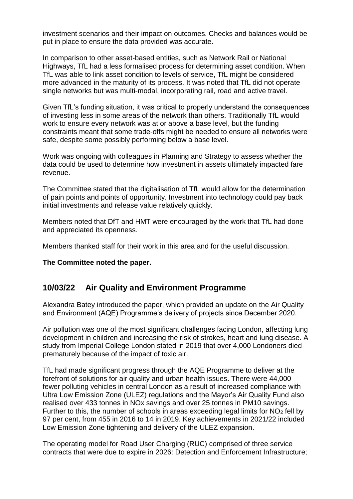investment scenarios and their impact on outcomes. Checks and balances would be put in place to ensure the data provided was accurate.

In comparison to other asset-based entities, such as Network Rail or National Highways, TfL had a less formalised process for determining asset condition. When TfL was able to link asset condition to levels of service, TfL might be considered more advanced in the maturity of its process. It was noted that TfL did not operate single networks but was multi-modal, incorporating rail, road and active travel.

Given TfL's funding situation, it was critical to properly understand the consequences of investing less in some areas of the network than others. Traditionally TfL would work to ensure every network was at or above a base level, but the funding constraints meant that some trade-offs might be needed to ensure all networks were safe, despite some possibly performing below a base level.

Work was ongoing with colleagues in Planning and Strategy to assess whether the data could be used to determine how investment in assets ultimately impacted fare revenue.

The Committee stated that the digitalisation of TfL would allow for the determination of pain points and points of opportunity. Investment into technology could pay back initial investments and release value relatively quickly.

Members noted that DfT and HMT were encouraged by the work that TfL had done and appreciated its openness.

Members thanked staff for their work in this area and for the useful discussion.

**The Committee noted the paper.**

### **10/03/22 Air Quality and Environment Programme**

Alexandra Batey introduced the paper, which provided an update on the Air Quality and Environment (AQE) Programme's delivery of projects since December 2020.

Air pollution was one of the most significant challenges facing London, affecting lung development in children and increasing the risk of strokes, heart and lung disease. A study from Imperial College London stated in 2019 that over 4,000 Londoners died prematurely because of the impact of toxic air.

TfL had made significant progress through the AQE Programme to deliver at the forefront of solutions for air quality and urban health issues. There were 44,000 fewer polluting vehicles in central London as a result of increased compliance with Ultra Low Emission Zone (ULEZ) regulations and the Mayor's Air Quality Fund also realised over 433 tonnes in NOx savings and over 25 tonnes in PM10 savings. Further to this, the number of schools in areas exceeding legal limits for  $NO<sub>2</sub>$  fell by 97 per cent, from 455 in 2016 to 14 in 2019. Key achievements in 2021/22 included Low Emission Zone tightening and delivery of the ULEZ expansion.

The operating model for Road User Charging (RUC) comprised of three service contracts that were due to expire in 2026: Detection and Enforcement Infrastructure;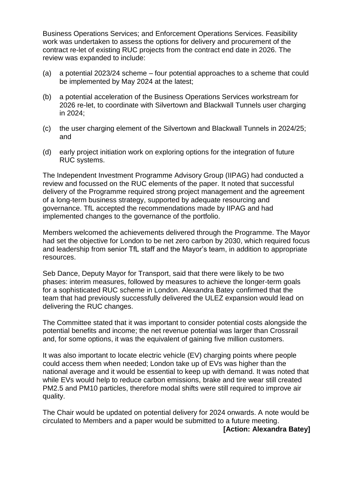Business Operations Services; and Enforcement Operations Services. Feasibility work was undertaken to assess the options for delivery and procurement of the contract re-let of existing RUC projects from the contract end date in 2026. The review was expanded to include:

- (a) a potential 2023/24 scheme four potential approaches to a scheme that could be implemented by May 2024 at the latest;
- (b) a potential acceleration of the Business Operations Services workstream for 2026 re-let, to coordinate with Silvertown and Blackwall Tunnels user charging in 2024;
- (c) the user charging element of the Silvertown and Blackwall Tunnels in 2024/25; and
- (d) early project initiation work on exploring options for the integration of future RUC systems.

The Independent Investment Programme Advisory Group (IIPAG) had conducted a review and focussed on the RUC elements of the paper. It noted that successful delivery of the Programme required strong project management and the agreement of a long-term business strategy, supported by adequate resourcing and governance. TfL accepted the recommendations made by IIPAG and had implemented changes to the governance of the portfolio.

Members welcomed the achievements delivered through the Programme. The Mayor had set the objective for London to be net zero carbon by 2030, which required focus and leadership from senior TfL staff and the Mayor's team, in addition to appropriate resources.

Seb Dance, Deputy Mayor for Transport, said that there were likely to be two phases: interim measures, followed by measures to achieve the longer-term goals for a sophisticated RUC scheme in London. Alexandra Batey confirmed that the team that had previously successfully delivered the ULEZ expansion would lead on delivering the RUC changes.

The Committee stated that it was important to consider potential costs alongside the potential benefits and income; the net revenue potential was larger than Crossrail and, for some options, it was the equivalent of gaining five million customers.

It was also important to locate electric vehicle (EV) charging points where people could access them when needed; London take up of EVs was higher than the national average and it would be essential to keep up with demand. It was noted that while EVs would help to reduce carbon emissions, brake and tire wear still created PM2.5 and PM10 particles, therefore modal shifts were still required to improve air quality.

The Chair would be updated on potential delivery for 2024 onwards. A note would be circulated to Members and a paper would be submitted to a future meeting.

**[Action: Alexandra Batey]**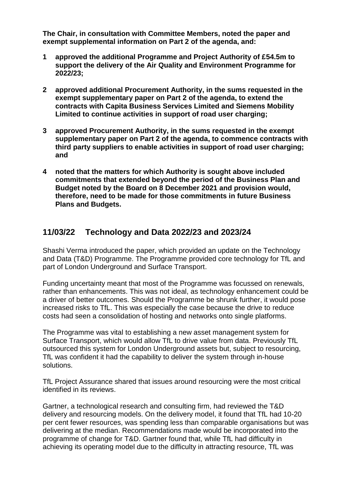**The Chair, in consultation with Committee Members, noted the paper and exempt supplemental information on Part 2 of the agenda, and:**

- **1 approved the additional Programme and Project Authority of £54.5m to support the delivery of the Air Quality and Environment Programme for 2022/23;**
- **2 approved additional Procurement Authority, in the sums requested in the exempt supplementary paper on Part 2 of the agenda, to extend the contracts with Capita Business Services Limited and Siemens Mobility Limited to continue activities in support of road user charging;**
- **3 approved Procurement Authority, in the sums requested in the exempt supplementary paper on Part 2 of the agenda, to commence contracts with third party suppliers to enable activities in support of road user charging; and**
- **4 noted that the matters for which Authority is sought above included commitments that extended beyond the period of the Business Plan and Budget noted by the Board on 8 December 2021 and provision would, therefore, need to be made for those commitments in future Business Plans and Budgets.**

## **11/03/22 Technology and Data 2022/23 and 2023/24**

Shashi Verma introduced the paper, which provided an update on the Technology and Data (T&D) Programme. The Programme provided core technology for TfL and part of London Underground and Surface Transport.

Funding uncertainty meant that most of the Programme was focussed on renewals, rather than enhancements. This was not ideal, as technology enhancement could be a driver of better outcomes. Should the Programme be shrunk further, it would pose increased risks to TfL. This was especially the case because the drive to reduce costs had seen a consolidation of hosting and networks onto single platforms.

The Programme was vital to establishing a new asset management system for Surface Transport, which would allow TfL to drive value from data. Previously TfL outsourced this system for London Underground assets but, subject to resourcing, TfL was confident it had the capability to deliver the system through in-house solutions.

TfL Project Assurance shared that issues around resourcing were the most critical identified in its reviews.

Gartner, a technological research and consulting firm, had reviewed the T&D delivery and resourcing models. On the delivery model, it found that TfL had 10-20 per cent fewer resources, was spending less than comparable organisations but was delivering at the median. Recommendations made would be incorporated into the programme of change for T&D. Gartner found that, while TfL had difficulty in achieving its operating model due to the difficulty in attracting resource, TfL was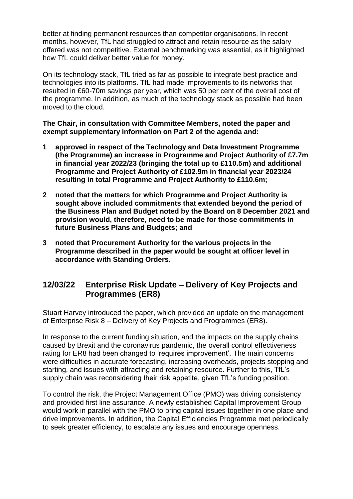better at finding permanent resources than competitor organisations. In recent months, however, TfL had struggled to attract and retain resource as the salary offered was not competitive. External benchmarking was essential, as it highlighted how TfL could deliver better value for money.

On its technology stack, TfL tried as far as possible to integrate best practice and technologies into its platforms. TfL had made improvements to its networks that resulted in £60-70m savings per year, which was 50 per cent of the overall cost of the programme. In addition, as much of the technology stack as possible had been moved to the cloud.

### **The Chair, in consultation with Committee Members, noted the paper and exempt supplementary information on Part 2 of the agenda and:**

- **1 approved in respect of the Technology and Data Investment Programme (the Programme) an increase in Programme and Project Authority of £7.7m in financial year 2022/23 (bringing the total up to £110.5m) and additional Programme and Project Authority of £102.9m in financial year 2023/24 resulting in total Programme and Project Authority to £110.6m;**
- **2 noted that the matters for which Programme and Project Authority is sought above included commitments that extended beyond the period of the Business Plan and Budget noted by the Board on 8 December 2021 and provision would, therefore, need to be made for those commitments in future Business Plans and Budgets; and**
- **3 noted that Procurement Authority for the various projects in the Programme described in the paper would be sought at officer level in accordance with Standing Orders.**

# **12/03/22 Enterprise Risk Update – Delivery of Key Projects and Programmes (ER8)**

Stuart Harvey introduced the paper, which provided an update on the management of Enterprise Risk 8 – Delivery of Key Projects and Programmes (ER8).

In response to the current funding situation, and the impacts on the supply chains caused by Brexit and the coronavirus pandemic, the overall control effectiveness rating for ER8 had been changed to 'requires improvement'. The main concerns were difficulties in accurate forecasting, increasing overheads, projects stopping and starting, and issues with attracting and retaining resource. Further to this, TfL's supply chain was reconsidering their risk appetite, given TfL's funding position.

To control the risk, the Project Management Office (PMO) was driving consistency and provided first line assurance. A newly established Capital Improvement Group would work in parallel with the PMO to bring capital issues together in one place and drive improvements. In addition, the Capital Efficiencies Programme met periodically to seek greater efficiency, to escalate any issues and encourage openness.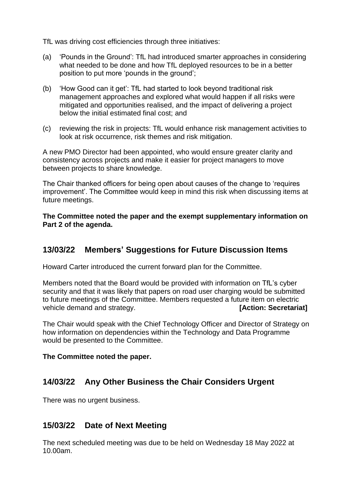TfL was driving cost efficiencies through three initiatives:

- (a) 'Pounds in the Ground': TfL had introduced smarter approaches in considering what needed to be done and how TfL deployed resources to be in a better position to put more 'pounds in the ground';
- (b) 'How Good can it get': TfL had started to look beyond traditional risk management approaches and explored what would happen if all risks were mitigated and opportunities realised, and the impact of delivering a project below the initial estimated final cost; and
- (c) reviewing the risk in projects: TfL would enhance risk management activities to look at risk occurrence, risk themes and risk mitigation.

A new PMO Director had been appointed, who would ensure greater clarity and consistency across projects and make it easier for project managers to move between projects to share knowledge.

The Chair thanked officers for being open about causes of the change to 'requires improvement'. The Committee would keep in mind this risk when discussing items at future meetings.

**The Committee noted the paper and the exempt supplementary information on Part 2 of the agenda.**

# **13/03/22 Members' Suggestions for Future Discussion Items**

Howard Carter introduced the current forward plan for the Committee.

Members noted that the Board would be provided with information on TfL's cyber security and that it was likely that papers on road user charging would be submitted to future meetings of the Committee. Members requested a future item on electric vehicle demand and strategy. **[Action: Secretariat]**

The Chair would speak with the Chief Technology Officer and Director of Strategy on how information on dependencies within the Technology and Data Programme would be presented to the Committee.

#### **The Committee noted the paper.**

### **14/03/22 Any Other Business the Chair Considers Urgent**

There was no urgent business.

### **15/03/22 Date of Next Meeting**

The next scheduled meeting was due to be held on Wednesday 18 May 2022 at 10.00am.